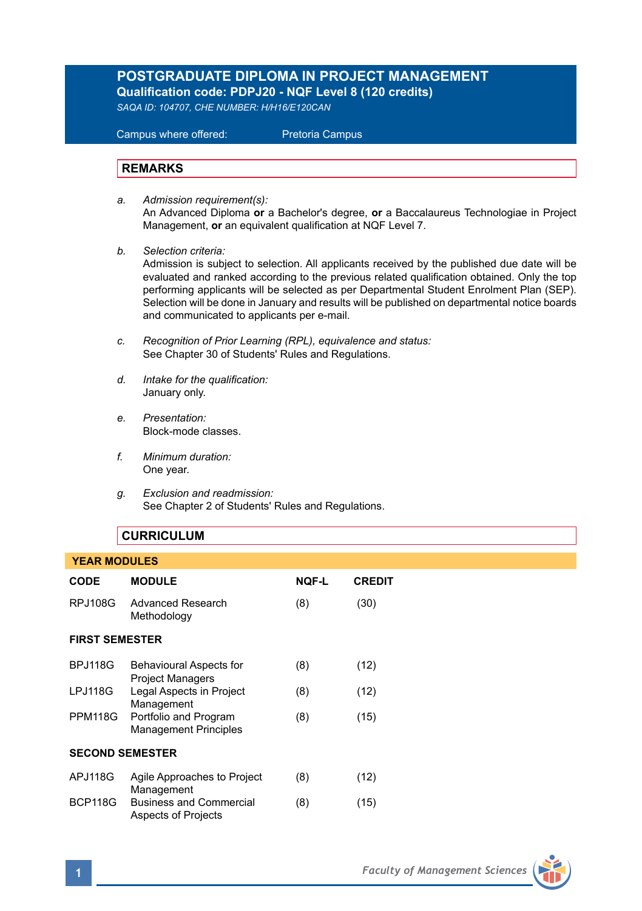# **POSTGRADUATE DIPLOMA IN PROJECT MANAGEMENT Qualification code: PDPJ20 - NQF Level 8 (120 credits)**

*SAQA ID: 104707, CHE NUMBER: H/H16/E120CAN* 

 Campus where offered: Pretoria Campus

## **REMARKS**

- *a. Admission requirement(s):*  An Advanced Diploma **or** a Bachelor's degree, **or** a Baccalaureus Technologiae in Project Management, **or** an equivalent qualification at NQF Level 7.
- *b. Selection criteria:*

Admission is subject to selection. All applicants received by the published due date will be evaluated and ranked according to the previous related qualification obtained. Only the top performing applicants will be selected as per Departmental Student Enrolment Plan (SEP). Selection will be done in January and results will be published on departmental notice boards and communicated to applicants per e-mail.

- *c. Recognition of Prior Learning (RPL), equivalence and status:* See Chapter 30 of Students' Rules and Regulations.
- *d. Intake for the qualification:* January only.
- *e. Presentation:* Block-mode classes.
- *f. Minimum duration:* One year.
- *g. Exclusion and readmission:* See Chapter 2 of Students' Rules and Regulations.

## **CURRICULUM**

## **YEAR MODULES**

| <b>MODULE</b>                                         | NQF-L                                               | <b>CREDIT</b> |  |  |
|-------------------------------------------------------|-----------------------------------------------------|---------------|--|--|
| Advanced Research<br>Methodology                      | (8)                                                 | (30)          |  |  |
| <b>FIRST SEMESTER</b>                                 |                                                     |               |  |  |
| Behavioural Aspects for                               | (8)                                                 | (12)          |  |  |
| Legal Aspects in Project                              | (8)                                                 | (12)          |  |  |
| Portfolio and Program<br><b>Management Principles</b> | (8)                                                 | (15)          |  |  |
| <b>SECOND SEMESTER</b>                                |                                                     |               |  |  |
| Agile Approaches to Project                           | (8)                                                 | (12)          |  |  |
| <b>Business and Commercial</b><br>Aspects of Projects | (8)                                                 | (15)          |  |  |
|                                                       | <b>Project Managers</b><br>Management<br>Management |               |  |  |

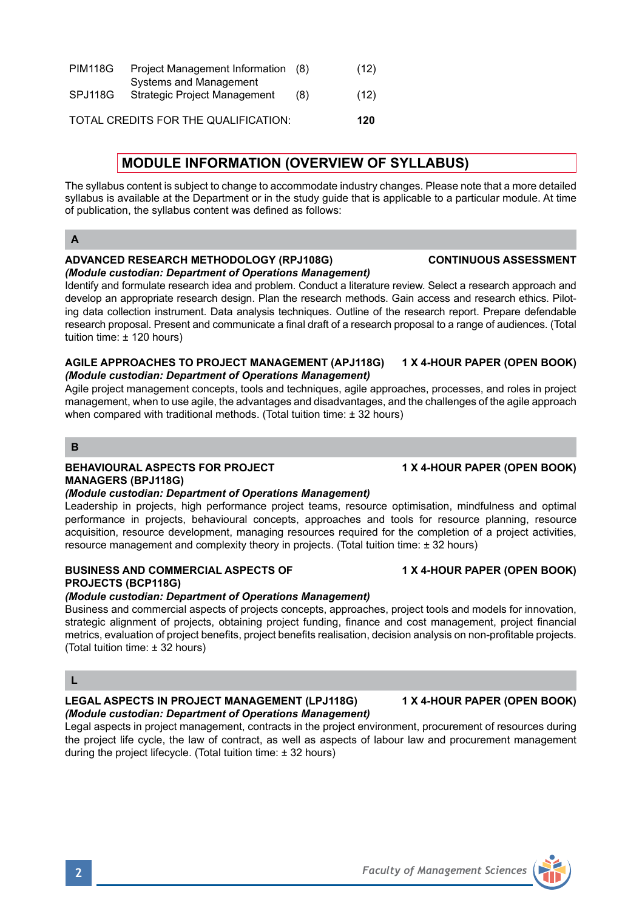| <b>PIM118G</b> | Project Management Information<br>Systems and Management | (8) | (12) |
|----------------|----------------------------------------------------------|-----|------|
| SPJ118G        | <b>Strategic Project Management</b>                      | (8) | (12) |
|                | TOTAL CREDITS FOR THE QUALIFICATION:                     |     | 120  |

# **MODULE INFORMATION (OVERVIEW OF SYLLABUS)**

The syllabus content is subject to change to accommodate industry changes. Please note that a more detailed syllabus is available at the Department or in the study guide that is applicable to a particular module. At time of publication, the syllabus content was defined as follows:

## **A**

### **ADVANCED RESEARCH METHODOLOGY (RPJ108G) CONTINUOUS ASSESSMENT** *(Module custodian: Department of Operations Management)*

Identify and formulate research idea and problem. Conduct a literature review. Select a research approach and develop an appropriate research design. Plan the research methods. Gain access and research ethics. Piloting data collection instrument. Data analysis techniques. Outline of the research report. Prepare defendable research proposal. Present and communicate a final draft of a research proposal to a range of audiences. (Total tuition time: ± 120 hours)

## **AGILE APPROACHES TO PROJECT MANAGEMENT (APJ118G) 1 X 4-HOUR PAPER (OPEN BOOK)** *(Module custodian: Department of Operations Management)*

Agile project management concepts, tools and techniques, agile approaches, processes, and roles in project management, when to use agile, the advantages and disadvantages, and the challenges of the agile approach when compared with traditional methods. (Total tuition time: ± 32 hours)

## **B**

## **BEHAVIOURAL ASPECTS FOR PROJECT 1 X 4-HOUR PAPER (OPEN BOOK) MANAGERS (BPJ118G)**

## *(Module custodian: Department of Operations Management)*

Leadership in projects, high performance project teams, resource optimisation, mindfulness and optimal performance in projects, behavioural concepts, approaches and tools for resource planning, resource acquisition, resource development, managing resources required for the completion of a project activities, resource management and complexity theory in projects. (Total tuition time: ± 32 hours)

## **BUSINESS AND COMMERCIAL ASPECTS OF 4 X 4-HOUR PAPER (OPEN BOOK) PROJECTS (BCP118G)**

## *(Module custodian: Department of Operations Management)*

Business and commercial aspects of projects concepts, approaches, project tools and models for innovation, strategic alignment of projects, obtaining project funding, finance and cost management, project financial metrics, evaluation of project benefits, project benefits realisation, decision analysis on non-profitable projects. (Total tuition time: ± 32 hours)

# **L**

## **LEGAL ASPECTS IN PROJECT MANAGEMENT (LPJ118G) 1 X 4-HOUR PAPER (OPEN BOOK)** *(Module custodian: Department of Operations Management)*

Legal aspects in project management, contracts in the project environment, procurement of resources during the project life cycle, the law of contract, as well as aspects of labour law and procurement management during the project lifecycle. (Total tuition time: ± 32 hours)

**2** *Faculty of Management Sciences*